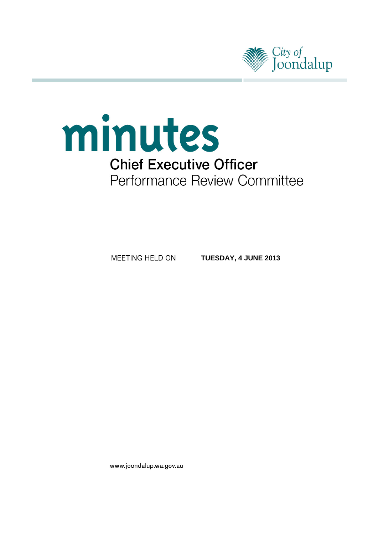



MEETING HELD ON

**TUESDAY, 4 JUNE 2013**

www.joondalup.wa.gov.au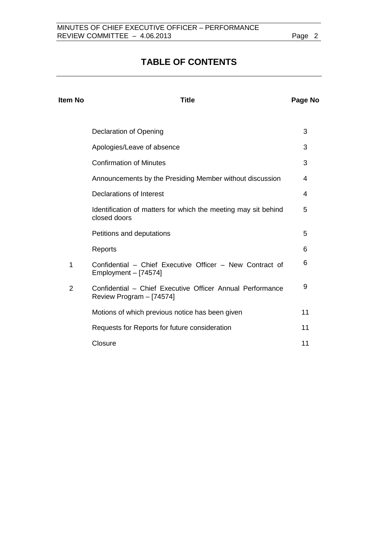# **TABLE OF CONTENTS**

| <b>Item No</b> | <b>Title</b>                                                                          | Page No |
|----------------|---------------------------------------------------------------------------------------|---------|
|                | <b>Declaration of Opening</b>                                                         | 3       |
|                | Apologies/Leave of absence                                                            | 3       |
|                | <b>Confirmation of Minutes</b>                                                        | 3       |
|                | Announcements by the Presiding Member without discussion                              | 4       |
|                | Declarations of Interest                                                              | 4       |
|                | Identification of matters for which the meeting may sit behind<br>closed doors        | 5       |
|                | Petitions and deputations                                                             | 5       |
|                | Reports                                                                               | 6       |
| 1              | Confidential - Chief Executive Officer - New Contract of<br>Employment $-$ [74574]    | 6       |
| $\overline{2}$ | Confidential - Chief Executive Officer Annual Performance<br>Review Program - [74574] | 9       |
|                | Motions of which previous notice has been given                                       | 11      |
|                | Requests for Reports for future consideration                                         | 11      |
|                | Closure                                                                               | 11      |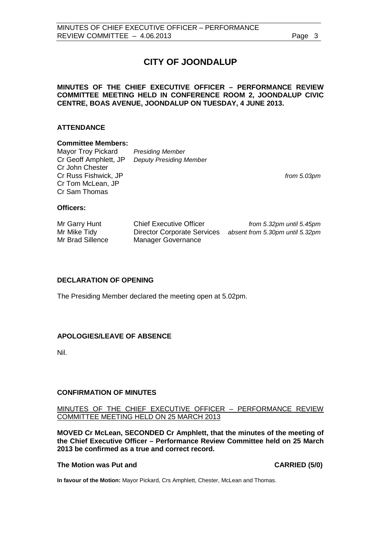# **CITY OF JOONDALUP**

## **MINUTES OF THE CHIEF EXECUTIVE OFFICER – PERFORMANCE REVIEW COMMITTEE MEETING HELD IN CONFERENCE ROOM 2, JOONDALUP CIVIC CENTRE, BOAS AVENUE, JOONDALUP ON TUESDAY, 4 JUNE 2013.**

### **ATTENDANCE**

#### **Committee Members:**

Mayor Troy Pickard *Presiding Member* Cr Geoff Amphlett, JP *Deputy Presiding Member* Cr John Chester Cr Russ Fishwick, JP *from 5.03pm* Cr Tom McLean, JP Cr Sam Thomas

## **Officers:**

| Mr Garry Hunt    | <b>Chief Executive Officer</b>     | from 5.32pm until 5.45pm        |
|------------------|------------------------------------|---------------------------------|
| Mr Mike Tidy     | <b>Director Corporate Services</b> | absent from 5.30pm until 5.32pm |
| Mr Brad Sillence | Manager Governance                 |                                 |

## <span id="page-2-0"></span>**DECLARATION OF OPENING**

The Presiding Member declared the meeting open at 5.02pm.

#### <span id="page-2-1"></span>**APOLOGIES/LEAVE OF ABSENCE**

Nil.

#### <span id="page-2-2"></span>**CONFIRMATION OF MINUTES**

## MINUTES OF THE CHIEF EXECUTIVE OFFICER – PERFORMANCE REVIEW COMMITTEE MEETING HELD ON 25 MARCH 2013

**MOVED Cr McLean, SECONDED Cr Amphlett, that the minutes of the meeting of the Chief Executive Officer – Performance Review Committee held on 25 March 2013 be confirmed as a true and correct record.**

#### **The Motion was Put and CARRIED (5/0)**

**In favour of the Motion:** Mayor Pickard, Crs Amphlett, Chester, McLean and Thomas.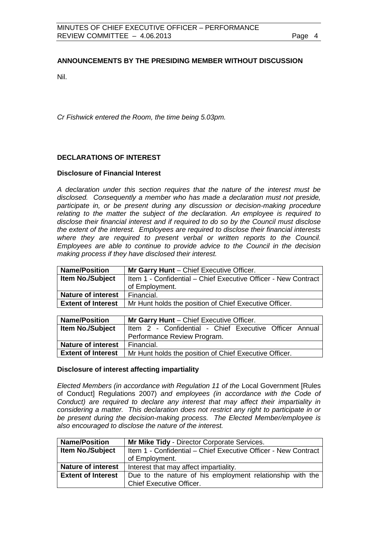## <span id="page-3-0"></span>**ANNOUNCEMENTS BY THE PRESIDING MEMBER WITHOUT DISCUSSION**

Nil.

*Cr Fishwick entered the Room, the time being 5.03pm.*

## <span id="page-3-1"></span>**DECLARATIONS OF INTEREST**

#### **Disclosure of Financial Interest**

*A declaration under this section requires that the nature of the interest must be disclosed. Consequently a member who has made a declaration must not preside,*  participate in, or be present during any discussion or decision-making procedure *relating to the matter the subject of the declaration. An employee is required to disclose their financial interest and if required to do so by the Council must disclose the extent of the interest. Employees are required to disclose their financial interests where they are required to present verbal or written reports to the Council. Employees are able to continue to provide advice to the Council in the decision making process if they have disclosed their interest.*

| <b>Name/Position</b>      | Mr Garry Hunt - Chief Executive Officer.                       |  |
|---------------------------|----------------------------------------------------------------|--|
| Item No./Subject          | Item 1 - Confidential – Chief Executive Officer - New Contract |  |
|                           | of Employment.                                                 |  |
| <b>Nature of interest</b> | Financial.                                                     |  |
| <b>Extent of Interest</b> | Mr Hunt holds the position of Chief Executive Officer.         |  |
|                           |                                                                |  |

| <b>Name/Position</b>      | Mr Garry Hunt - Chief Executive Officer.               |
|---------------------------|--------------------------------------------------------|
| <b>Item No./Subject</b>   | Item 2 - Confidential - Chief Executive Officer Annual |
|                           | Performance Review Program.                            |
| <b>Nature of interest</b> | Financial.                                             |
| <b>Extent of Interest</b> | Mr Hunt holds the position of Chief Executive Officer. |

#### **Disclosure of interest affecting impartiality**

*Elected Members (in accordance with Regulation 11 of the* Local Government [Rules of Conduct] Regulations 2007) *and employees (in accordance with the Code of Conduct*) are required to declare any interest that may affect their impartiality in *considering a matter. This declaration does not restrict any right to participate in or be present during the decision-making process. The Elected Member/employee is also encouraged to disclose the nature of the interest.*

| <b>Name/Position</b>      | Mr Mike Tidy - Director Corporate Services.                    |  |
|---------------------------|----------------------------------------------------------------|--|
| <b>Item No./Subject</b>   | Item 1 - Confidential - Chief Executive Officer - New Contract |  |
|                           | of Employment.                                                 |  |
| <b>Nature of interest</b> | Interest that may affect impartiality.                         |  |
| <b>Extent of Interest</b> | Due to the nature of his employment relationship with the      |  |
|                           | <b>Chief Executive Officer.</b>                                |  |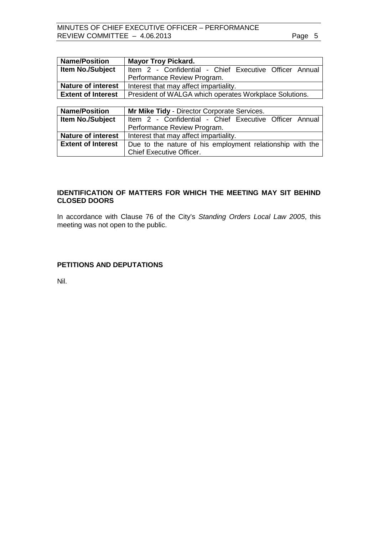| <b>Name/Position</b>      | <b>Mayor Troy Pickard.</b>                                |
|---------------------------|-----------------------------------------------------------|
| Item No./Subject          | Item 2 - Confidential - Chief Executive Officer Annual    |
|                           | Performance Review Program.                               |
| <b>Nature of interest</b> | Interest that may affect impartiality.                    |
| <b>Extent of Interest</b> | President of WALGA which operates Workplace Solutions.    |
|                           |                                                           |
|                           |                                                           |
| <b>Name/Position</b>      | Mr Mike Tidy - Director Corporate Services.               |
| Item No./Subject          | Item 2 - Confidential - Chief Executive Officer Annual    |
|                           | Performance Review Program.                               |
| <b>Nature of interest</b> | Interest that may affect impartiality.                    |
| <b>Extent of Interest</b> | Due to the nature of his employment relationship with the |

## <span id="page-4-0"></span>**IDENTIFICATION OF MATTERS FOR WHICH THE MEETING MAY SIT BEHIND CLOSED DOORS**

In accordance with Clause 76 of the City's *Standing Orders Local Law 2005*, this meeting was not open to the public.

## <span id="page-4-1"></span>**PETITIONS AND DEPUTATIONS**

Nil.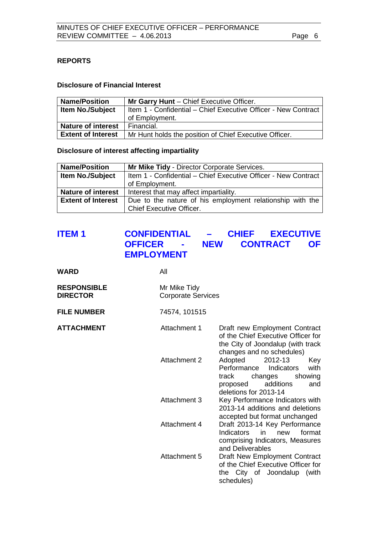## <span id="page-5-0"></span>**REPORTS**

## **Disclosure of Financial Interest**

| <b>Name/Position</b>      | Mr Garry Hunt - Chief Executive Officer.                       |
|---------------------------|----------------------------------------------------------------|
| <b>Item No./Subject</b>   | Item 1 - Confidential – Chief Executive Officer - New Contract |
|                           | of Employment.                                                 |
| <b>Nature of interest</b> | Financial.                                                     |
| <b>Extent of Interest</b> | Mr Hunt holds the position of Chief Executive Officer.         |

## **Disclosure of interest affecting impartiality**

| <b>Name/Position</b>      | <b>Mr Mike Tidy - Director Corporate Services.</b>             |  |
|---------------------------|----------------------------------------------------------------|--|
| <b>Item No./Subject</b>   | Item 1 - Confidential - Chief Executive Officer - New Contract |  |
|                           | of Employment.                                                 |  |
| <b>Nature of interest</b> | Interest that may affect impartiality.                         |  |
| <b>Extent of Interest</b> | Due to the nature of his employment relationship with the      |  |
|                           | <b>Chief Executive Officer.</b>                                |  |

# <span id="page-5-1"></span>**ITEM 1 CONFIDENTIAL – CHIEF EXECUTIVE**  - **NEW CONTRACT OF EMPLOYMENT**

| <b>WARD</b>                           | All                                       |                                                                                                                                                        |
|---------------------------------------|-------------------------------------------|--------------------------------------------------------------------------------------------------------------------------------------------------------|
| <b>RESPONSIBLE</b><br><b>DIRECTOR</b> | Mr Mike Tidy<br><b>Corporate Services</b> |                                                                                                                                                        |
| <b>FILE NUMBER</b>                    | 74574, 101515                             |                                                                                                                                                        |
| <b>ATTACHMENT</b>                     | Attachment 1                              | Draft new Employment Contract<br>of the Chief Executive Officer for<br>the City of Joondalup (with track<br>changes and no schedules)                  |
|                                       | Attachment 2                              | Adopted<br>2012-13<br>Key<br>Performance<br>Indicators<br>with<br>track<br>changes<br>showing<br>additions<br>and<br>proposed<br>deletions for 2013-14 |
|                                       | Attachment 3                              | Key Performance Indicators with<br>2013-14 additions and deletions<br>accepted but format unchanged                                                    |
|                                       | Attachment 4                              | Draft 2013-14 Key Performance<br>Indicators in<br>format<br>new<br>comprising Indicators, Measures<br>and Deliverables                                 |
|                                       | Attachment 5                              | Draft New Employment Contract<br>of the Chief Executive Officer for<br>the City of Joondalup<br>(with<br>schedules)                                    |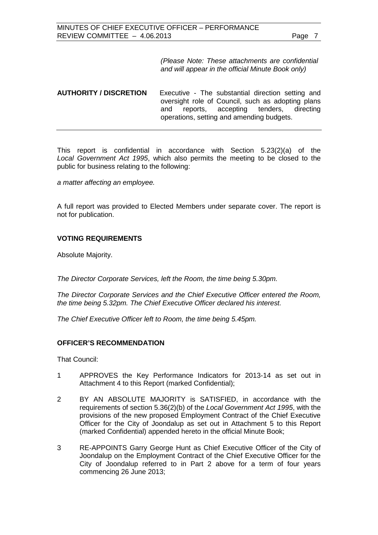*(Please Note: These attachments are confidential and will appear in the official Minute Book only)*

## **AUTHORITY / DISCRETION** Executive - The substantial direction setting and oversight role of Council, such as adopting plans<br>and reports, accepting tenders, directing and reports, accepting tenders, directing operations, setting and amending budgets.

This report is confidential in accordance with Section 5.23(2)(a) of the *Local Government Act 1995*, which also permits the meeting to be closed to the public for business relating to the following:

*a matter affecting an employee.*

A full report was provided to Elected Members under separate cover. The report is not for publication.

#### **VOTING REQUIREMENTS**

Absolute Majority.

*The Director Corporate Services, left the Room, the time being 5.30pm.*

*The Director Corporate Services and the Chief Executive Officer entered the Room, the time being 5.32pm. The Chief Executive Officer declared his interest.*

*The Chief Executive Officer left to Room, the time being 5.45pm.* 

#### **OFFICER'S RECOMMENDATION**

That Council:

- 1 APPROVES the Key Performance Indicators for 2013-14 as set out in Attachment 4 to this Report (marked Confidential);
- 2 BY AN ABSOLUTE MAJORITY is SATISFIED, in accordance with the requirements of section 5.36(2)(b) of the *Local Government Act 1995*, with the provisions of the new proposed Employment Contract of the Chief Executive Officer for the City of Joondalup as set out in Attachment 5 to this Report (marked Confidential) appended hereto in the official Minute Book;
- 3 RE-APPOINTS Garry George Hunt as Chief Executive Officer of the City of Joondalup on the Employment Contract of the Chief Executive Officer for the City of Joondalup referred to in Part 2 above for a term of four years commencing 26 June 2013;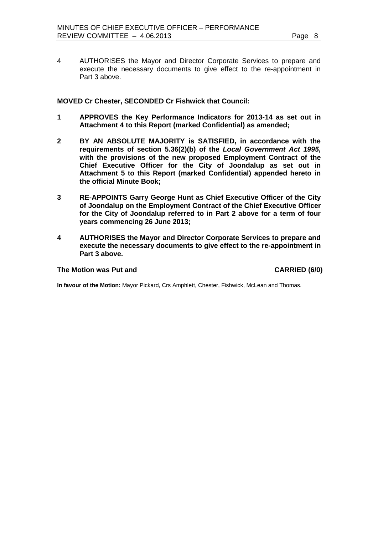4 AUTHORISES the Mayor and Director Corporate Services to prepare and execute the necessary documents to give effect to the re-appointment in Part 3 above.

#### **MOVED Cr Chester, SECONDED Cr Fishwick that Council:**

- **1 APPROVES the Key Performance Indicators for 2013-14 as set out in Attachment 4 to this Report (marked Confidential) as amended;**
- **2 BY AN ABSOLUTE MAJORITY is SATISFIED, in accordance with the requirements of section 5.36(2)(b) of the** *Local Government Act 1995***, with the provisions of the new proposed Employment Contract of the Chief Executive Officer for the City of Joondalup as set out in Attachment 5 to this Report (marked Confidential) appended hereto in the official Minute Book;**
- **3 RE-APPOINTS Garry George Hunt as Chief Executive Officer of the City of Joondalup on the Employment Contract of the Chief Executive Officer for the City of Joondalup referred to in Part 2 above for a term of four years commencing 26 June 2013;**
- **4 AUTHORISES the Mayor and Director Corporate Services to prepare and execute the necessary documents to give effect to the re-appointment in Part 3 above.**

#### **The Motion was Put and CARRIED (6/0)**

**In favour of the Motion:** Mayor Pickard, Crs Amphlett, Chester, Fishwick, McLean and Thomas.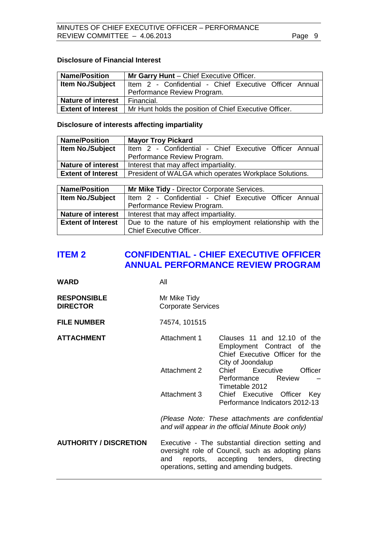## **Disclosure of Financial Interest**

| <b>Name/Position</b>      | Mr Garry Hunt - Chief Executive Officer.               |
|---------------------------|--------------------------------------------------------|
| <b>Item No./Subject</b>   | Item 2 - Confidential - Chief Executive Officer Annual |
|                           | Performance Review Program.                            |
| <b>Nature of interest</b> | Financial.                                             |
| <b>Extent of Interest</b> | Mr Hunt holds the position of Chief Executive Officer. |

## **Disclosure of interests affecting impartiality**

| <b>Name/Position</b>      | <b>Mayor Troy Pickard</b>                              |
|---------------------------|--------------------------------------------------------|
| <b>Item No./Subject</b>   | Item 2 - Confidential - Chief Executive Officer Annual |
|                           | Performance Review Program.                            |
| <b>Nature of interest</b> | Interest that may affect impartiality.                 |
| <b>Extent of Interest</b> | President of WALGA which operates Workplace Solutions. |

| <b>Name/Position</b>      | Mr Mike Tidy - Director Corporate Services.               |  |
|---------------------------|-----------------------------------------------------------|--|
| <b>Item No./Subject</b>   | Item 2 - Confidential - Chief Executive Officer Annual    |  |
|                           | Performance Review Program.                               |  |
| <b>Nature of interest</b> | Interest that may affect impartiality.                    |  |
| <b>Extent of Interest</b> | Due to the nature of his employment relationship with the |  |
|                           | <b>Chief Executive Officer.</b>                           |  |

## <span id="page-8-0"></span>**ITEM 2 CONFIDENTIAL - CHIEF EXECUTIVE OFFICER ANNUAL PERFORMANCE REVIEW PROGRAM**

| <b>RESPONSIBLE</b> | Mr Mike Tidy              |
|--------------------|---------------------------|
| <b>DIRECTOR</b>    | <b>Corporate Services</b> |

**FILE NUMBER** 74574, 101515

**WARD** All

| <b>ATTACHMENT</b> | Attachment 1 | Clauses 11 and 12.10 of the                       |
|-------------------|--------------|---------------------------------------------------|
|                   |              | Employment Contract of the                        |
|                   |              | Chief Executive Officer for the                   |
|                   |              | City of Joondalup                                 |
|                   | Attachment 2 | Executive<br>Officer<br>Chief                     |
|                   |              | Performance Review                                |
|                   |              | Timetable 2012                                    |
|                   | Attachment 3 | Chief Executive Officer<br>Key                    |
|                   |              | Performance Indicators 2012-13                    |
|                   |              | (Please Note: These attachments are confidential  |
|                   |              | and will appear in the official Minute Book only) |
|                   |              |                                                   |

**AUTHORITY / DISCRETION** Executive - The substantial direction setting and oversight role of Council, such as adopting plans<br>and reports, accepting tenders, directing and reports, accepting operations, setting and amending budgets.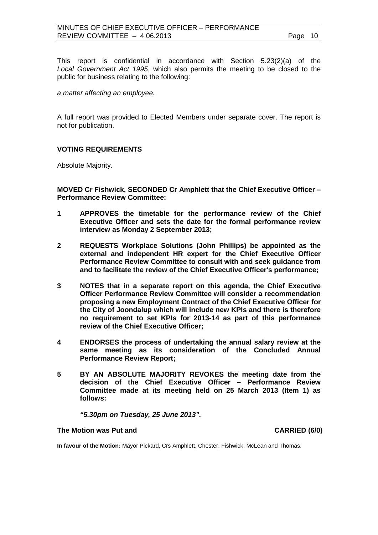This report is confidential in accordance with Section 5.23(2)(a) of the *Local Government Act 1995*, which also permits the meeting to be closed to the public for business relating to the following:

*a matter affecting an employee.*

A full report was provided to Elected Members under separate cover. The report is not for publication.

## **VOTING REQUIREMENTS**

Absolute Majority.

**MOVED Cr Fishwick, SECONDED Cr Amphlett that the Chief Executive Officer – Performance Review Committee:**

- **1 APPROVES the timetable for the performance review of the Chief Executive Officer and sets the date for the formal performance review interview as Monday 2 September 2013;**
- **2 REQUESTS Workplace Solutions (John Phillips) be appointed as the external and independent HR expert for the Chief Executive Officer Performance Review Committee to consult with and seek guidance from and to facilitate the review of the Chief Executive Officer's performance;**
- **3 NOTES that in a separate report on this agenda, the Chief Executive Officer Performance Review Committee will consider a recommendation proposing a new Employment Contract of the Chief Executive Officer for the City of Joondalup which will include new KPIs and there is therefore no requirement to set KPIs for 2013-14 as part of this performance review of the Chief Executive Officer;**
- **4 ENDORSES the process of undertaking the annual salary review at the same meeting as its consideration of the Concluded Annual Performance Review Report;**
- **5 BY AN ABSOLUTE MAJORITY REVOKES the meeting date from the decision of the Chief Executive Officer – Performance Review Committee made at its meeting held on 25 March 2013 (Item 1) as follows:**

*"5.30pm on Tuesday, 25 June 2013".*

#### **The Motion was Put and CARRIED (6/0)**

**In favour of the Motion:** Mayor Pickard, Crs Amphlett, Chester, Fishwick, McLean and Thomas.